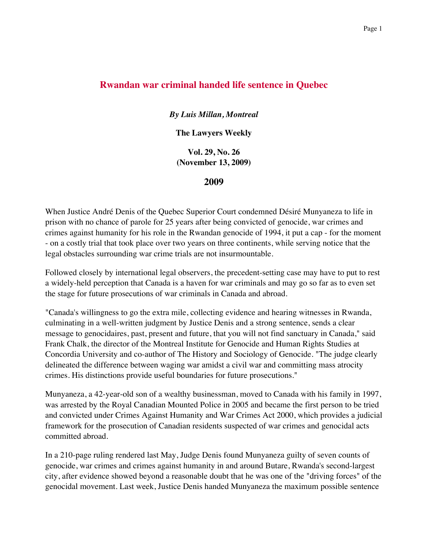## **Rwandan war criminal handed life sentence in Quebec**

*By Luis Millan, Montreal*

**The Lawyers Weekly**

**Vol. 29, No. 26 (November 13, 2009)**

**2009**

When Justice André Denis of the Quebec Superior Court condemned Désiré Munyaneza to life in prison with no chance of parole for 25 years after being convicted of genocide, war crimes and crimes against humanity for his role in the Rwandan genocide of 1994, it put a cap - for the moment - on a costly trial that took place over two years on three continents, while serving notice that the legal obstacles surrounding war crime trials are not insurmountable.

Followed closely by international legal observers, the precedent-setting case may have to put to rest a widely-held perception that Canada is a haven for war criminals and may go so far as to even set the stage for future prosecutions of war criminals in Canada and abroad.

"Canada's willingness to go the extra mile, collecting evidence and hearing witnesses in Rwanda, culminating in a well-written judgment by Justice Denis and a strong sentence, sends a clear message to genocidaires, past, present and future, that you will not find sanctuary in Canada," said Frank Chalk, the director of the Montreal Institute for Genocide and Human Rights Studies at Concordia University and co-author of The History and Sociology of Genocide. "The judge clearly delineated the difference between waging war amidst a civil war and committing mass atrocity crimes. His distinctions provide useful boundaries for future prosecutions."

Munyaneza, a 42-year-old son of a wealthy businessman, moved to Canada with his family in 1997, was arrested by the Royal Canadian Mounted Police in 2005 and became the first person to be tried and convicted under Crimes Against Humanity and War Crimes Act 2000, which provides a judicial framework for the prosecution of Canadian residents suspected of war crimes and genocidal acts committed abroad.

In a 210-page ruling rendered last May, Judge Denis found Munyaneza guilty of seven counts of genocide, war crimes and crimes against humanity in and around Butare, Rwanda's second-largest city, after evidence showed beyond a reasonable doubt that he was one of the "driving forces" of the genocidal movement. Last week, Justice Denis handed Munyaneza the maximum possible sentence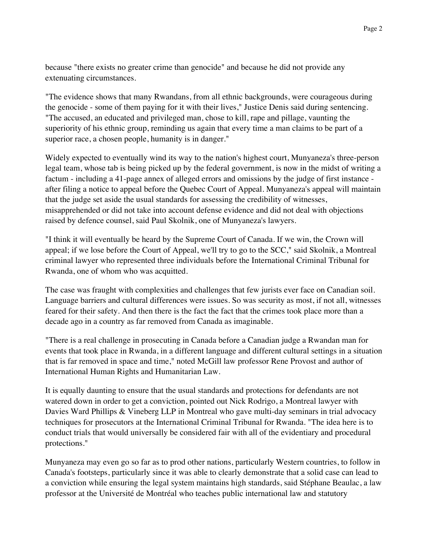because "there exists no greater crime than genocide" and because he did not provide any extenuating circumstances.

"The evidence shows that many Rwandans, from all ethnic backgrounds, were courageous during the genocide - some of them paying for it with their lives," Justice Denis said during sentencing. "The accused, an educated and privileged man, chose to kill, rape and pillage, vaunting the superiority of his ethnic group, reminding us again that every time a man claims to be part of a superior race, a chosen people, humanity is in danger."

Widely expected to eventually wind its way to the nation's highest court, Munyaneza's three-person legal team, whose tab is being picked up by the federal government, is now in the midst of writing a factum - including a 41-page annex of alleged errors and omissions by the judge of first instance after filing a notice to appeal before the Quebec Court of Appeal. Munyaneza's appeal will maintain that the judge set aside the usual standards for assessing the credibility of witnesses, misapprehended or did not take into account defense evidence and did not deal with objections raised by defence counsel, said Paul Skolnik, one of Munyaneza's lawyers.

"I think it will eventually be heard by the Supreme Court of Canada. If we win, the Crown will appeal; if we lose before the Court of Appeal, we'll try to go to the SCC," said Skolnik, a Montreal criminal lawyer who represented three individuals before the International Criminal Tribunal for Rwanda, one of whom who was acquitted.

The case was fraught with complexities and challenges that few jurists ever face on Canadian soil. Language barriers and cultural differences were issues. So was security as most, if not all, witnesses feared for their safety. And then there is the fact the fact that the crimes took place more than a decade ago in a country as far removed from Canada as imaginable.

"There is a real challenge in prosecuting in Canada before a Canadian judge a Rwandan man for events that took place in Rwanda, in a different language and different cultural settings in a situation that is far removed in space and time," noted McGill law professor Rene Provost and author of International Human Rights and Humanitarian Law.

It is equally daunting to ensure that the usual standards and protections for defendants are not watered down in order to get a conviction, pointed out Nick Rodrigo, a Montreal lawyer with Davies Ward Phillips & Vineberg LLP in Montreal who gave multi-day seminars in trial advocacy techniques for prosecutors at the International Criminal Tribunal for Rwanda. "The idea here is to conduct trials that would universally be considered fair with all of the evidentiary and procedural protections."

Munyaneza may even go so far as to prod other nations, particularly Western countries, to follow in Canada's footsteps, particularly since it was able to clearly demonstrate that a solid case can lead to a conviction while ensuring the legal system maintains high standards, said Stéphane Beaulac, a law professor at the Université de Montréal who teaches public international law and statutory